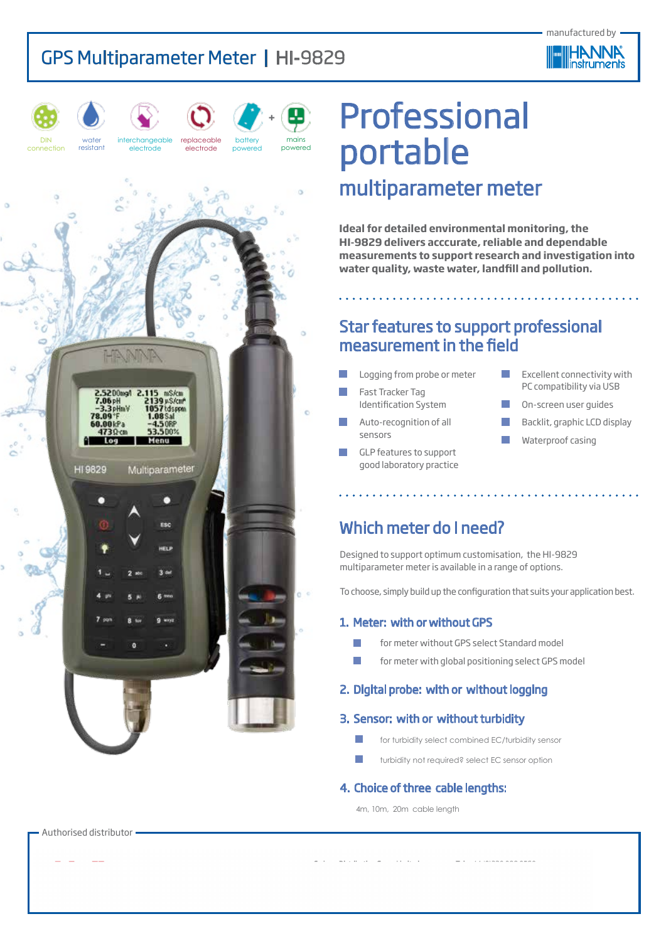



DIN



water



interchangeable

battery powered replaceable electrode

mains powered **+**



# Professional portable multiparameter meter

**Ideal for detailed environmental monitoring, the HI-9829 delivers acccurate, reliable and dependable measurements to support research and investigation into water quality, waste water, landfill and pollution.** 

### Star features to support professional measurement in the field

and a straightful and a straightful and

- Logging from probe or meter
- Fast Tracker Tag Identification System
- Auto-recognition of all sensors
- GLP features to support good laboratory practice
- Excellent connectivity with PC compatibility via USB
- On-screen user guides
- Backlit, graphic LCD display
- Waterproof casing

### Which meter do I need?

Designed to support optimum customisation, the HI-9829 multiparameter meter is available in a range of options.

To choose, simply build up the configuration that suits your application best.

#### 1. Meter: with or without GPS

- **Formeter without GPS select Standard model**
- $\blacksquare$  for meter with global positioning select GPS model

#### 2. Digital probe: with or without logging

#### 3. Sensor: with or without turbidity

- **for turbidity select combined EC/turbidity sensor**
- turbidity not required? select EC sensor option

#### 4. Choice of three cable lengths:

4m, 10m, 20m cable length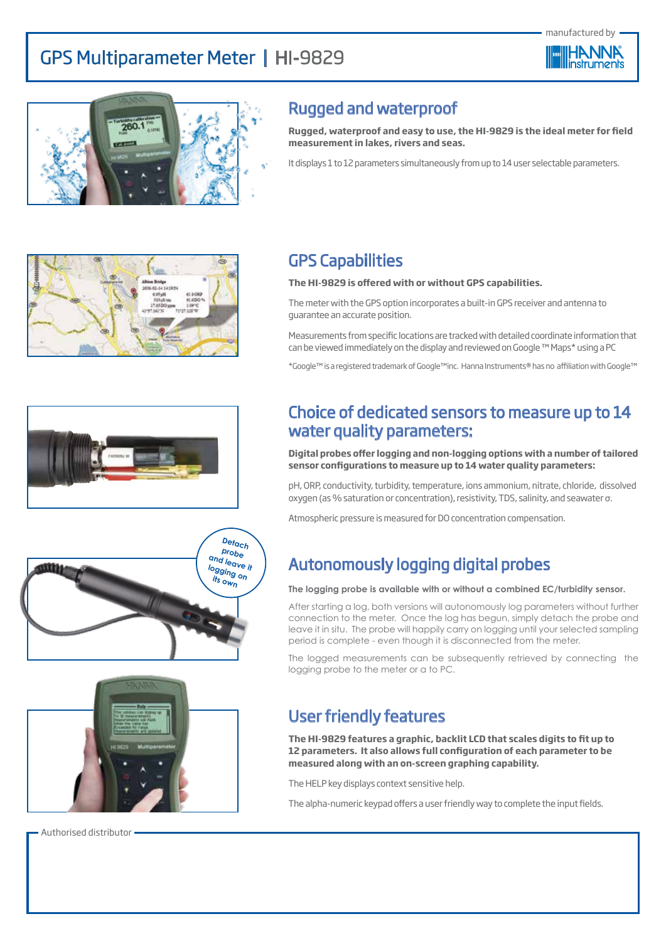



### Rugged and waterproof

**Rugged, waterproof and easy to use, the HI-9829 is the ideal meter for field measurement in lakes, rivers and seas.** 

It displays 1 to 12 parameters simultaneously from up to 14 user selectable parameters.









GPS Capabilities

#### **The HI-9829 is offered with or without GPS capabilities.**

The meter with the GPS option incorporates a built-in GPS receiver and antenna to guarantee an accurate position.

Measurements from specific locations are tracked with detailed coordinate information that can be viewed immediately on the display and reviewed on Google ™ Maps\* using a PC

\*Google™ is a registered trademark of Google™inc. Hanna Instruments® has no affiliation with Google™

### Choice of dedicated sensors to measure up to 14 water quality parameters:

**Digital probes offer logging and non-logging options with a number of tailored sensor configurations to measure up to 14 water quality parameters:**

pH, ORP, conductivity, turbidity, temperature, ions ammonium, nitrate, chloride, dissolved oxygen (as % saturation or concentration), resistivity, TDS, salinity, and seawater σ.

Atmospheric pressure is measured for DO concentration compensation.

### Autonomously logging digital probes

#### **The logging probe is available with or without a combined EC/turbidity sensor.**

After starting a log, both versions will autonomously log parameters without further connection to the meter. Once the log has begun, simply detach the probe and leave it in situ. The probe will happily carry on logging until your selected sampling period is complete - even though it is disconnected from the meter.

The logged measurements can be subsequently retrieved by connecting the logging probe to the meter or a to PC.

### User friendly features

**The HI-9829 features a graphic, backlit LCD that scales digits to fit up to 12 parameters. It also allows full configuration of each parameter to be measured along with an on-screen graphing capability.** 

The HELP key displays context sensitive help.

The alpha-numeric keypad offers a user friendly way to complete the input fields.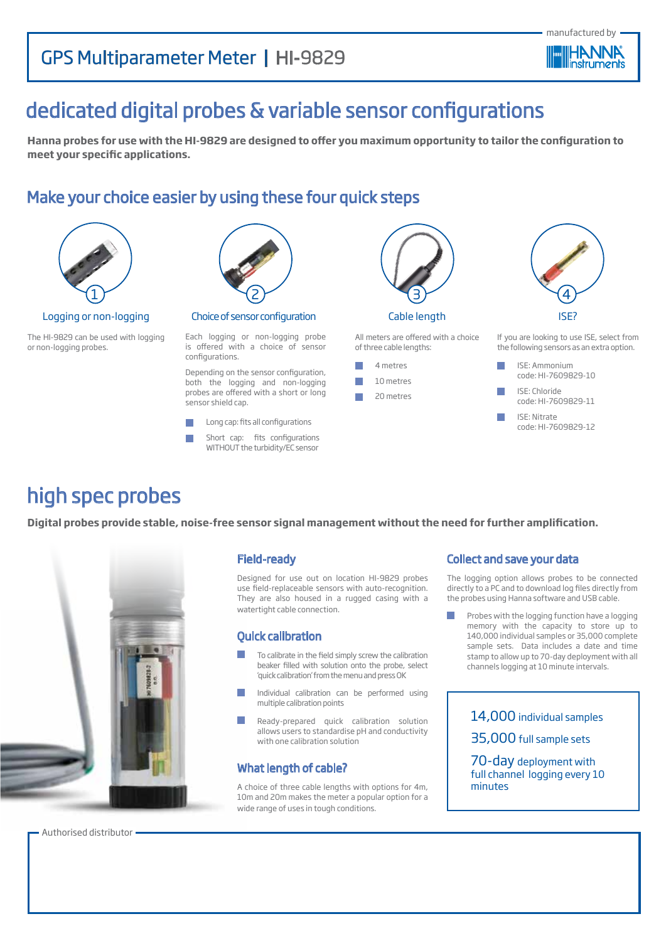

# dedicated digital probes & variable sensor configurations

**Hanna probes for use with the HI-9829 are designed to offer you maximum opportunity to tailor the configuration to meet your specific applications.** 

### Make your choice easier by using these four quick steps



Logging or non-logging

The HI-9829 can be used with logging or non-logging probes.



Choice of sensor configuration

Each logging or non-logging probe is offered with a choice of sensor configurations.

Depending on the sensor configuration, both the logging and non-logging probes are offered with a short or long sensor shield cap.

 $\sim$ Long cap: fits all configurations

Short cap: fits configurations WITHOUT the turbidity/EC sensor



All meters are offered with a choice of three cable lengths:



If you are looking to use ISE, select from the following sensors as an extra option.

ISE?

4

**I** ISE: Ammonium code: HI-7609829-10 ISE: Chloride code: HI-7609829-11

ISE: Nitrate code: HI-7609829-12

# high spec probes

**Digital probes provide stable, noise-free sensor signal management without the need for further amplification.** 



#### Field-ready

Designed for use out on location HI-9829 probes use field-replaceable sensors with auto-recognition. They are also housed in a rugged casing with a watertight cable connection.

#### Quick calibration

- To calibrate in the field simply screw the calibration beaker filled with solution onto the probe, select 'quick calibration' from the menu and press OK
- Individual calibration can be performed using multiple calibration points
- Ready-prepared quick calibration solution allows users to standardise pH and conductivity with one calibration solution

#### What length of cable?

A choice of three cable lengths with options for 4m, 10m and 20m makes the meter a popular option for a wide range of uses in tough conditions.

#### Collect and save your data

The logging option allows probes to be connected directly to a PC and to download log files directly from the probes using Hanna software and USB cable.

Probes with the logging function have a logging memory with the capacity to store up to 140,000 individual samples or 35,000 complete sample sets. Data includes a date and time stamp to allow up to 70-day deployment with all channels logging at 10 minute intervals.

> 14,000 individual samples 35,000 full sample sets 70-day deployment with full channel logging every 10 minutes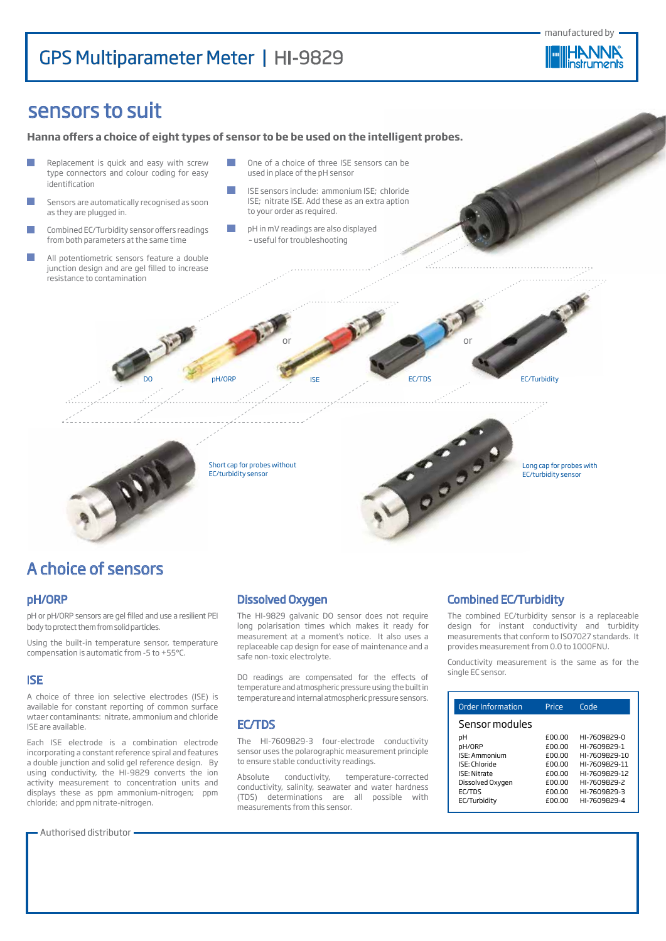manufactured by



## sensors to suit

**Hanna offers a choice of eight types of sensor to be be used on the intelligent probes.** 

Replacement is quick and easy with screw One of a choice of three ISE sensors can be type connectors and colour coding for easy used in place of the pH sensor identification  $\sim$ ISE sensors include: ammonium ISE; chloride F ISE; nitrate ISE. Add these as an extra aption Sensors are automatically recognised as soon as they are plugged in. to your order as required. Combined EC/Turbidity sensor offers readings  $\mathcal{L}_{\mathcal{A}}$ pH in mV readings are also displayed – useful for troubleshootingfrom both parameters at the same time All potentiometric sensors feature a double junction design and are gel filled to increase resistance to contamination or **or** or



Short cap for probes without EC/turbidity sensor



## A choice of sensors

#### pH/ORP

pH or pH/ORP sensors are gel filled and use a resilient PEI body to protect them from solid particles.

Using the built-in temperature sensor, temperature compensation is automatic from -5 to +55°C.

#### ISE

A choice of three ion selective electrodes (ISE) is available for constant reporting of common surface wtaer contaminants: nitrate, ammonium and chloride ISE are available.

Each ISE electrode is a combination electrode incorporating a constant reference spiral and features a double junction and solid gel reference design. By using conductivity, the HI-9829 converts the ion activity measurement to concentration units and displays these as ppm ammonium-nitrogen; ppm chloride; and ppm nitrate-nitrogen.

Authorised distributor



The HI-9829 galvanic DO sensor does not require long polarisation times which makes it ready for measurement at a moment's notice. It also uses a replaceable cap design for ease of maintenance and a safe non-toxic electrolyte.

DO pH/ORP ISE EC/TDS EC/Turbidity

DO readings are compensated for the effects of temperature and atmospheric pressure using the built in temperature and internal atmospheric pressure sensors.

#### EC/TDS

The HI-7609829-3 four-electrode conductivity sensor uses the polarographic measurement principle to ensure stable conductivity readings.

Absolute conductivity, temperature-corrected conductivity, salinity, seawater and water hardness (TDS) determinations are all possible with measurements from this sensor.

#### Combined EC/Turbidity

The combined EC/turbidity sensor is a replaceable design for instant conductivity and turbidity measurements that conform to ISO7027 standards. It provides measurement from 0.0 to 1000FNU.

Conductivity measurement is the same as for the single EC sensor.

| Order Information   | Price  | Code          |
|---------------------|--------|---------------|
| Sensor modules      |        |               |
| pН                  | £00.00 | HI-7609829-0  |
| pH/ORP              | £00.00 | HI-7609829-1  |
| ISE: Ammonium       | f00.00 | HI-7609829-10 |
| ISE: Chloride       | f00.00 | HI-7609829-11 |
| <b>ISE: Nitrate</b> | £00.00 | HI-7609829-12 |
| Dissolved Oxygen    | f00.00 | HI-7609829-2  |
| <b>FC/TDS</b>       | f00.00 | HI-7609829-3  |
| EC/Turbidity        | £00.00 | HI-7609829-4  |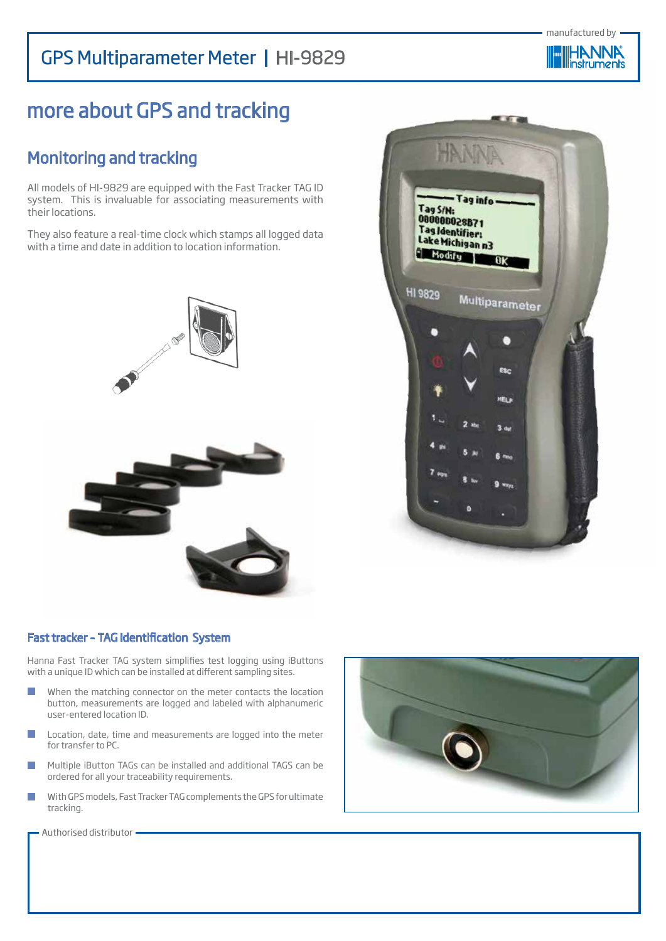

# more about GPS and tracking

## Monitoring and tracking

All models of HI-9829 are equipped with the Fast Tracker TAG ID system. This is invaluable for associating measurements with their locations.

They also feature a real-time clock which stamps all logged data with a time and date in addition to location information.





#### Fast tracker – TAG Identification System

Hanna Fast Tracker TAG system simplifies test logging using iButtons with a unique ID which can be installed at different sampling sites.

- $\overline{\phantom{a}}$ When the matching connector on the meter contacts the location button, measurements are logged and labeled with alphanumeric user-entered location ID.
- Location, date, time and measurements are logged into the meter  $\mathcal{C}^{\mathcal{A}}$ for transfer to PC.
- Multiple iButton TAGs can be installed and additional TAGS can be  $\overline{\phantom{a}}$ ordered for all your traceability requirements.
- With GPS models, Fast Tracker TAG complements the GPS for ultimate  $\mathcal{C}^{\mathcal{A}}$ tracking.

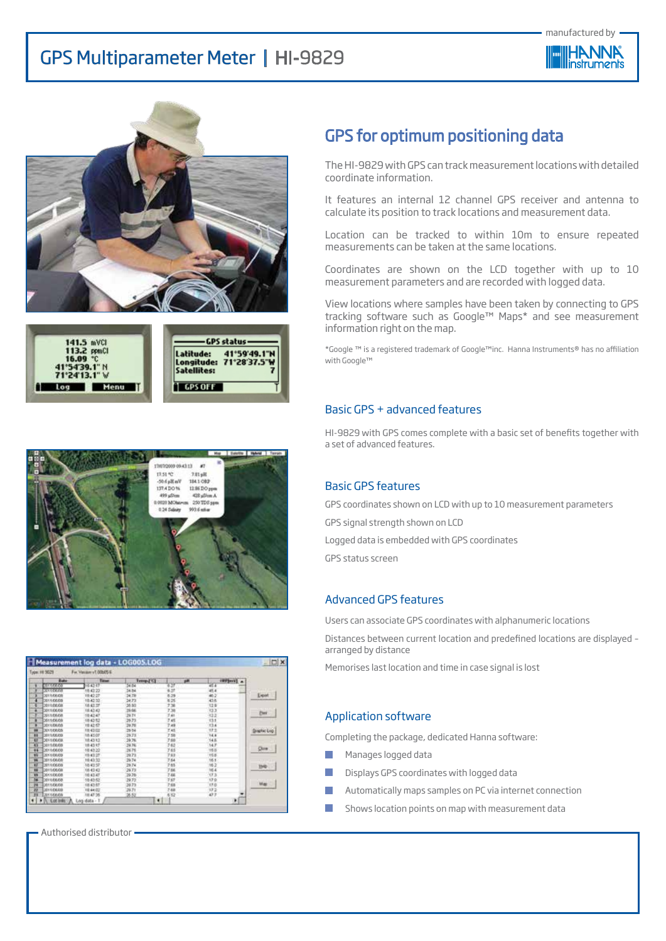







| <b>Date</b>      | <b>Tanent</b> | Temp.FGI | p.m.    | <b>INVENTION</b> |                     |
|------------------|---------------|----------|---------|------------------|---------------------|
| <b>ULLEGENS</b>  | 154247        | 56.04    | 4.27    | 45.4             |                     |
| <b>SELIEKIN</b>  | 1842.22       | 34.84    | ü       | 45               |                     |
| 2011/06/08       | 10.42.27      | 34.78    | 6.29    |                  | Export              |
| 3011/08/08       | 18.42.32      | 34.73    | 0.25    |                  |                     |
| 3011/06/08       | 18 42:37      | 38.93    | 736     | 12.9             |                     |
| 301106.00        | 18.42.42      | 39.66    | 738     | 33               | Fist                |
| 2011/05/08       | 104247        | 29.71    | 741     |                  |                     |
| 301106.00        | 184212        | 36.73    | 746     | 13.1             |                     |
| 2011/06/08       | 184257        | 29.78    | 7.48    | 13.4             |                     |
| 2011/08/05       | 18,43:02      | 29.04    | $T = 0$ | 17.1             | <b>langitac Log</b> |
| 3011/06/09       | 184507        | 29.73    | 7.58    | 14.4             |                     |
| 2011/06/08       | 18.43.13      | 39.76    | 7.66    | 14.6             |                     |
| 3011/06/05       | 184317        | 59.76    | 3.63    | 14.7             |                     |
| 3011/08/08<br>86 | 10:42:22      | 36.76    | 765     | <b>HER</b>       |                     |
| 2011/08/09       | 19:42:27      | 29.73    | 743     | 15.8             |                     |
| 3011/06/08       | 10.43.35      | 29.74    | 7.64    | 16.1             |                     |
| 2011/06/06       | 184357        | 29.74    | 7.65    | 16.2             | <b>UHD</b>          |
| 2011/05/08       | 18.43.43      | 29.73    | 7.66    | YE 4             |                     |
| 391106.08        | 10.43.47      | 19.76    | 7.66    | 0.8              |                     |
| <b>SEFERINAS</b> | 18.42.52      | 29.72    | 737     | 17.0             |                     |
| 3011284.08       | 10.42.57      | 59.73    | 7.65    | 12.0             | Max                 |
| DOLLOWER         | 18,44.02      | 29.71    | 788     | 172              |                     |
| DISTINGUIA       | 18:47:35      | 36.52    | 6.82    | io s             |                     |

Authorised distributor

### GPS for optimum positioning data

The HI-9829 with GPS can track measurement locations with detailed coordinate information.

It features an internal 12 channel GPS receiver and antenna to calculate its position to track locations and measurement data.

Location can be tracked to within 10m to ensure repeated measurements can be taken at the same locations.

Coordinates are shown on the LCD together with up to 10 measurement parameters and are recorded with logged data.

View locations where samples have been taken by connecting to GPS tracking software such as Google™ Maps\* and see measurement information right on the map.

\*Google ™ is a registered trademark of Google™inc. Hanna Instruments® has no affiliation with Google™

#### Basic GPS + advanced features

HI-9829 with GPS comes complete with a basic set of benefits together with a set of advanced features.

#### Basic GPS features

GPS coordinates shown on LCD with up to 10 measurement parameters GPS signal strength shown on LCD Logged data is embedded with GPS coordinates GPS status screen

#### Advanced GPS features

Users can associate GPS coordinates with alphanumeric locations

Distances between current location and predefined locations are displayed – arranged by distance

Memorises last location and time in case signal is lost

#### Application software

Completing the package, dedicated Hanna software:

- Manages logged data
- Displays GPS coordinates with logged data
- Automatically maps samples on PC via internet connection
- Shows location points on map with measurement data٠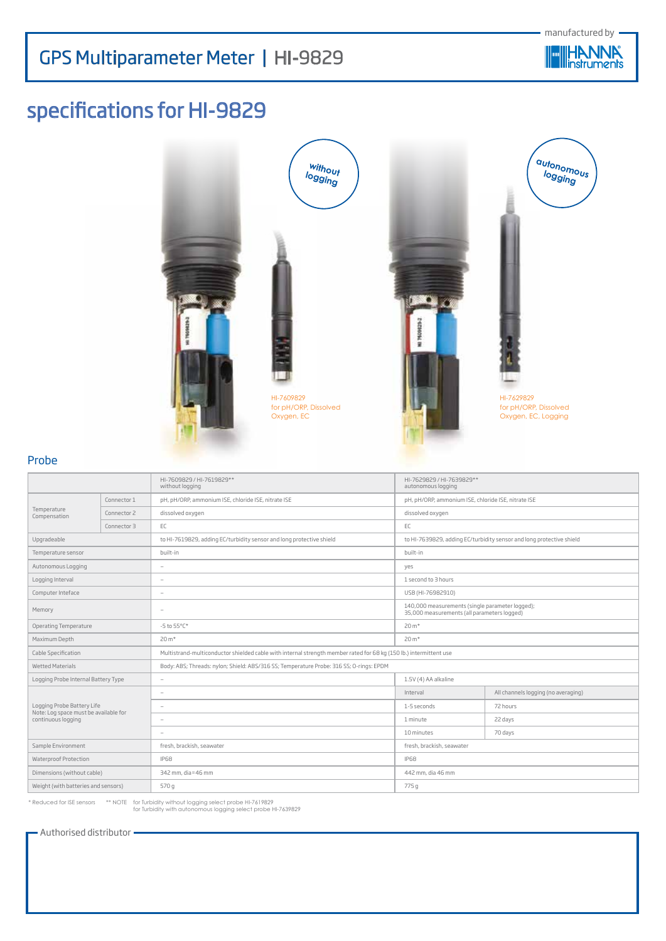

# specifications for HI-9829







for pH/ORP, Dissolved Oxygen, EC, Logging

#### Probe

|                                                                                           |             | HI-7609829 / HI-7619829**<br>without logging                                                                       | HI-7629829 / HI-7639829**<br>autonomous logging                                                |                                     |  |
|-------------------------------------------------------------------------------------------|-------------|--------------------------------------------------------------------------------------------------------------------|------------------------------------------------------------------------------------------------|-------------------------------------|--|
|                                                                                           | Connector 1 | pH, pH/ORP, ammonium ISE, chloride ISE, nitrate ISE                                                                | pH, pH/ORP, ammonium ISE, chloride ISE, nitrate ISE                                            |                                     |  |
| Temperature<br>Compensation                                                               | Connector 2 | dissolved oxygen                                                                                                   | dissolved oxygen                                                                               |                                     |  |
| Connector 3                                                                               |             | EC                                                                                                                 | EC                                                                                             |                                     |  |
| Upgradeable                                                                               |             | to HI-7619829, adding EC/turbidity sensor and long protective shield                                               | to HI-7639829, adding EC/turbidity sensor and long protective shield                           |                                     |  |
| Temperature sensor                                                                        |             | built-in                                                                                                           | built-in                                                                                       |                                     |  |
| Autonomous Logging                                                                        |             | $\overline{\phantom{a}}$                                                                                           | yes                                                                                            |                                     |  |
| Logging Interval                                                                          |             | $\overline{\phantom{a}}$                                                                                           | 1 second to 3 hours                                                                            |                                     |  |
| Computer Inteface                                                                         |             | $\overline{\phantom{a}}$                                                                                           | USB (HI-76982910)                                                                              |                                     |  |
| Memory                                                                                    |             | $\overline{\phantom{a}}$                                                                                           | 140,000 measurements (single parameter logged);<br>35,000 measurements (all parameters logged) |                                     |  |
| Operating Temperature                                                                     |             | $-5$ to $55^{\circ}$ C*                                                                                            | 20 m <sup>*</sup>                                                                              |                                     |  |
| Maximum Depth                                                                             |             | $20 m*$                                                                                                            | $20 m*$                                                                                        |                                     |  |
| Cable Specification                                                                       |             | Multistrand-multiconductor shielded cable with internal strength member rated for 68 kg (150 lb.) intermittent use |                                                                                                |                                     |  |
| <b>Wetted Materials</b>                                                                   |             | Body: ABS; Threads: nylon; Shield: ABS/316 SS; Temperature Probe: 316 SS; O-rings: EPDM                            |                                                                                                |                                     |  |
| Logging Probe Internal Battery Type                                                       |             | $\sim$                                                                                                             | 1.5V (4) AA alkaline                                                                           |                                     |  |
|                                                                                           |             | ÷.                                                                                                                 | Interval                                                                                       | All channels logging (no averaging) |  |
| Logging Probe Battery Life<br>Note: Log space must be available for<br>continuous logging |             | $\overline{\phantom{a}}$                                                                                           | 1-5 seconds                                                                                    | 72 hours                            |  |
|                                                                                           |             | $\sim$                                                                                                             | 1 minute                                                                                       | 22 days                             |  |
|                                                                                           |             | $\sim$                                                                                                             | 10 minutes                                                                                     | 70 days                             |  |
| Sample Environment                                                                        |             | fresh, brackish, seawater                                                                                          | fresh, brackish, seawater                                                                      |                                     |  |
| Waterproof Protection                                                                     |             | <b>IP68</b>                                                                                                        | <b>IP68</b>                                                                                    |                                     |  |
| Dimensions (without cable)                                                                |             | 342 mm, dia=46 mm                                                                                                  | 442 mm, dia 46 mm                                                                              |                                     |  |
| Weight (with batteries and sensors)                                                       |             | 570 g                                                                                                              | 775 g                                                                                          |                                     |  |

\* Reduced for ISE sensors \*\* NOTE for Turbidity without logging select probe HI-7619829 for Turbidity with autonomous logging select probe HI-7639829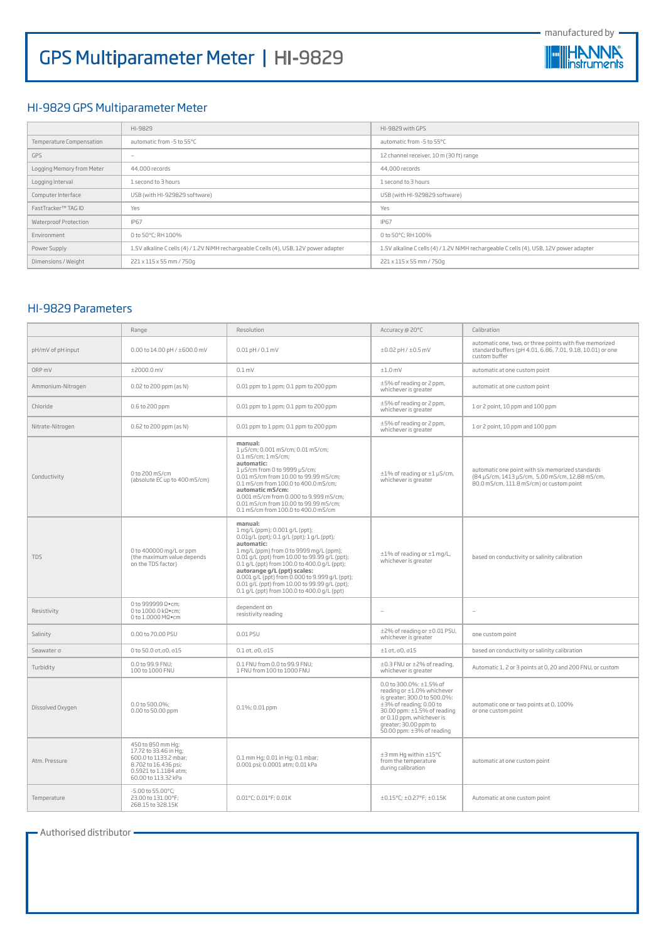



#### HI-9829 GPS Multiparameter Meter

|                           | HI-9829                                                                                | HI-9829 with GPS                                                                       |
|---------------------------|----------------------------------------------------------------------------------------|----------------------------------------------------------------------------------------|
| Temperature Compensation  | automatic from -5 to 55°C                                                              | automatic from -5 to 55°C                                                              |
| <b>GPS</b>                | $\sim$                                                                                 | 12 channel receiver, 10 m (30 ft) range                                                |
| Logging Memory from Meter | 44,000 records                                                                         | 44,000 records                                                                         |
| Logging Interval          | 1 second to 3 hours                                                                    | 1 second to 3 hours                                                                    |
| Computer Interface        | USB (with HI-929829 software)                                                          | USB (with HI-929829 software)                                                          |
| FastTracker™ TAG ID       | Yes                                                                                    | Yes                                                                                    |
| Waterproof Protection     | <b>IP67</b>                                                                            | <b>IP67</b>                                                                            |
| Environment               | 0 to 50°C: RH 100%                                                                     | 0 to 50°C: RH 100%                                                                     |
| Power Supply              | 1.5V alkaline C cells (4) / 1.2V NiMH rechargeable C cells (4), USB, 12V power adapter | 1.5V alkaline C cells (4) / 1.2V NiMH rechargeable C cells (4), USB, 12V power adapter |
| Dimensions / Weight       | 221 x 115 x 55 mm / 750g                                                               | 221 x 115 x 55 mm / 750g                                                               |

#### HI-9829 Parameters

|                   | Range                                                                                                                                       | Resolution                                                                                                                                                                                                                                                                                                                                                                                                                         | Accuracy @ 20°C                                                                                                                                                                                                                         | Calibration                                                                                                                                     |
|-------------------|---------------------------------------------------------------------------------------------------------------------------------------------|------------------------------------------------------------------------------------------------------------------------------------------------------------------------------------------------------------------------------------------------------------------------------------------------------------------------------------------------------------------------------------------------------------------------------------|-----------------------------------------------------------------------------------------------------------------------------------------------------------------------------------------------------------------------------------------|-------------------------------------------------------------------------------------------------------------------------------------------------|
| pH/mV of pH input | 0.00 to $14.00$ pH / $\pm 600.0$ mV                                                                                                         | $0.01$ pH / $0.1$ mV                                                                                                                                                                                                                                                                                                                                                                                                               | $±0.02$ pH / $±0.5$ mV                                                                                                                                                                                                                  | automatic one, two, or three points with five memorized<br>standard buffers (pH 4.01, 6.86, 7.01, 9.18, 10.01) or one<br>custom buffer          |
| ORP <sub>mV</sub> | ±2000.0 mV                                                                                                                                  | $0.1$ mV                                                                                                                                                                                                                                                                                                                                                                                                                           | $±1.0$ mV                                                                                                                                                                                                                               | automatic at one custom point                                                                                                                   |
| Ammonium-Nitrogen | 0.02 to 200 ppm (as N)                                                                                                                      | 0.01 ppm to 1 ppm; 0.1 ppm to 200 ppm                                                                                                                                                                                                                                                                                                                                                                                              | ±5% of reading or 2 ppm,<br>whichever is greater                                                                                                                                                                                        | automatic at one custom point                                                                                                                   |
| Chloride          | 0.6 to 200 ppm                                                                                                                              | 0.01 ppm to 1 ppm; 0.1 ppm to 200 ppm                                                                                                                                                                                                                                                                                                                                                                                              | ±5% of reading or 2 ppm,<br>whichever is greater                                                                                                                                                                                        | 1 or 2 point, 10 ppm and 100 ppm                                                                                                                |
| Nitrate-Nitrogen  | 0.62 to 200 ppm (as N)                                                                                                                      | 0.01 ppm to 1 ppm; 0.1 ppm to 200 ppm                                                                                                                                                                                                                                                                                                                                                                                              | ±5% of reading or 2 ppm,<br>whichever is greater                                                                                                                                                                                        | 1 or 2 point, 10 ppm and 100 ppm                                                                                                                |
| Conductivity      | 0 to 200 mS/cm<br>(absolute EC up to 400 mS/cm)                                                                                             | manual:<br>1 µS/cm; 0.001 mS/cm; 0.01 mS/cm;<br>$0.1$ mS/cm: $1$ mS/cm:<br>automatic:<br>1 µS/cm from 0 to 9999 µS/cm;<br>0.01 mS/cm from 10.00 to 99.99 mS/cm;<br>0.1 mS/cm from 100.0 to 400.0 mS/cm:<br>automatic mS/cm:<br>0.001 mS/cm from 0.000 to 9.999 mS/cm;<br>0.01 mS/cm from 10.00 to 99.99 mS/cm:<br>0.1 mS/cm from 100.0 to 400.0 mS/cm                                                                              | ±1% of reading or ±1 µS/cm,<br>whichever is greater                                                                                                                                                                                     | automatic one point with six memorized standards<br>(84 µS/cm, 1413 µS/cm, 5.00 mS/cm, 12.88 mS/cm,<br>80.0 mS/cm, 111.8 mS/cm) or custom point |
| <b>TDS</b>        | 0 to 400000 mg/L or ppm<br>(the maximum value depends<br>on the TDS factor)                                                                 | manual:<br>1 mg/L (ppm); 0.001 g/L (ppt);<br>0.01g/L (ppt); 0.1 g/L (ppt); 1 g/L (ppt);<br>automatic:<br>1 mg/L (ppm) from 0 to 9999 mg/L (ppm);<br>0.01 q/L (ppt) from 10.00 to 99.99 q/L (ppt);<br>0.1 g/L (ppt) from 100.0 to 400.0 g/L (ppt);<br>autorange g/L (ppt) scales:<br>0.001 g/L (ppt) from 0.000 to 9.999 g/L (ppt);<br>0.01 g/L (ppt) from 10.00 to 99.99 g/L (ppt);<br>0.1 g/L (ppt) from 100.0 to 400.0 g/L (ppt) | ±1% of reading or ±1 mg/L,<br>whichever is greater                                                                                                                                                                                      | based on conductivity or salinity calibration                                                                                                   |
| Resistivity       | 0 to 999999 Ω•cm;<br>0 to 1000.0 kΩ•cm;<br>0 to 1.0000 MΩ•cm                                                                                | dependent on<br>resistivity reading                                                                                                                                                                                                                                                                                                                                                                                                |                                                                                                                                                                                                                                         | ٠                                                                                                                                               |
| Salinity          | 0.00 to 70.00 PSU                                                                                                                           | 0.01 PSU                                                                                                                                                                                                                                                                                                                                                                                                                           | ±2% of reading or ±0.01 PSU,<br>whichever is greater                                                                                                                                                                                    | one custom point                                                                                                                                |
| Seawater o        | $0$ to 50.0 σt, σ0, σ15                                                                                                                     | $0.1$ ot. $0.015$                                                                                                                                                                                                                                                                                                                                                                                                                  | $±1$ $\sigma$ t, $\sigma$ 0, $\sigma$ 15                                                                                                                                                                                                | based on conductivity or salinity calibration                                                                                                   |
| Turbidity         | 0.0 to 99.9 FNU:<br>100 to 1000 FNU                                                                                                         | 0.1 FNU from 0.0 to 99.9 FNU:<br>1 FNU from 100 to 1000 FNU                                                                                                                                                                                                                                                                                                                                                                        | ±0.3 FNU or ±2% of reading,<br>whichever is greater                                                                                                                                                                                     | Automatic 1, 2 or 3 points at 0, 20 and 200 FNU, or custom                                                                                      |
| Dissolved Oxygen  | 0.0 to 500.0%;<br>0.00 to 50.00 ppm                                                                                                         | 0.1%; 0.01 ppm                                                                                                                                                                                                                                                                                                                                                                                                                     | 0.0 to 300.0%: ±1.5% of<br>reading or ±1.0% whichever<br>is greater; 300.0 to 500.0%:<br>±3% of reading; 0.00 to<br>30.00 ppm: ±1.5% of reading<br>or 0.10 ppm, whichever is<br>greater; 30.00 ppm to<br>50.00 ppm: $\pm$ 3% of reading | automatic one or two points at 0, 100%<br>or one custom point                                                                                   |
| Atm. Pressure     | 450 to 850 mm Hq;<br>17.72 to 33.46 in Hg;<br>600.0 to 1133.2 mbar;<br>8.702 to 16.436 psi;<br>0.5921 to 1.1184 atm;<br>60.00 to 113.32 kPa | 0.1 mm Hg; 0.01 in Hg; 0.1 mbar;<br>0.001 psi; 0.0001 atm; 0.01 kPa                                                                                                                                                                                                                                                                                                                                                                | ±3 mm Hg within ±15°C<br>from the temperature<br>during calibration                                                                                                                                                                     | automatic at one custom point                                                                                                                   |
| Temperature       | $-5.00$ to $55.00$ °C;<br>23.00 to 131.00°F:<br>268.15 to 328.15K                                                                           | 0.01°C: 0.01°F: 0.01K                                                                                                                                                                                                                                                                                                                                                                                                              | $\pm 0.15^{\circ}$ C; $\pm 0.27^{\circ}$ F; $\pm 0.15$ K                                                                                                                                                                                | Automatic at one custom point                                                                                                                   |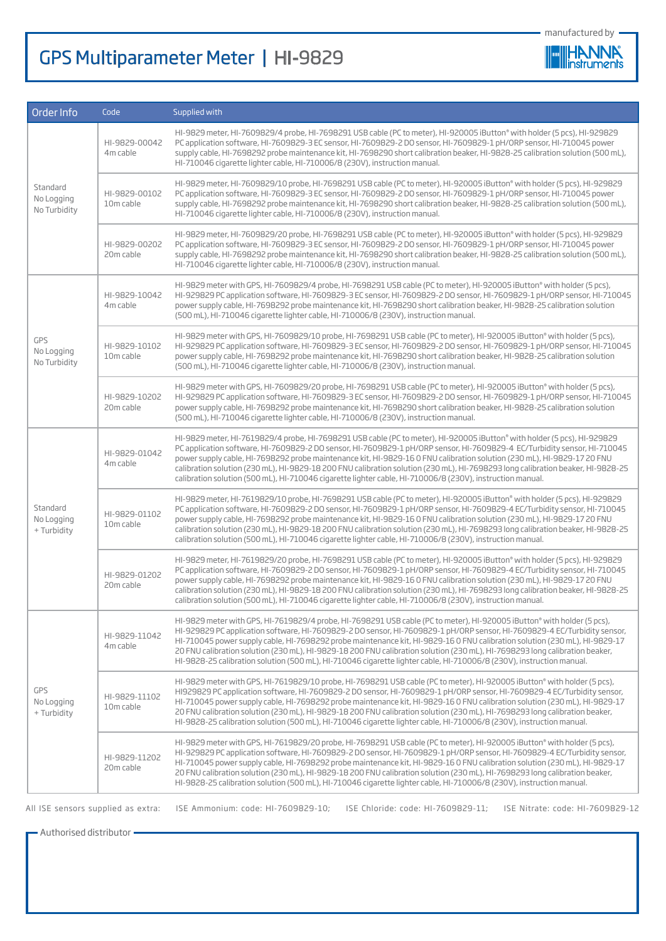| manufactured by |
|-----------------|
|-----------------|



| Order Info                             | Code                       | Supplied with                                                                                                                                                                                                                                                                                                                                                                                                                                                                                                                                                                                                                             |
|----------------------------------------|----------------------------|-------------------------------------------------------------------------------------------------------------------------------------------------------------------------------------------------------------------------------------------------------------------------------------------------------------------------------------------------------------------------------------------------------------------------------------------------------------------------------------------------------------------------------------------------------------------------------------------------------------------------------------------|
| Standard<br>No Logging<br>No Turbidity | HI-9829-00042<br>4m cable  | HI-9829 meter, HI-7609829/4 probe, HI-7698291 USB cable (PC to meter), HI-920005 iButton® with holder (5 pcs), HI-929829<br>PC application software, HI-7609829-3 EC sensor, HI-7609829-2 DO sensor, HI-7609829-1 pH/ORP sensor, HI-710045 power<br>supply cable, HI-7698292 probe maintenance kit, HI-7698290 short calibration beaker, HI-9828-25 calibration solution (500 mL),<br>HI-710046 cigarette lighter cable, HI-710006/8 (230V), instruction manual.                                                                                                                                                                          |
|                                        | HI-9829-00102<br>10m cable | HI-9829 meter, HI-7609829/10 probe, HI-7698291 USB cable (PC to meter), HI-920005 iButton® with holder (5 pcs), HI-929829<br>PC application software, HI-7609829-3 EC sensor, HI-7609829-2 DO sensor, HI-7609829-1 pH/ORP sensor, HI-710045 power<br>supply cable, HI-7698292 probe maintenance kit, HI-7698290 short calibration beaker, HI-9828-25 calibration solution (500 mL),<br>HI-710046 cigarette lighter cable, HI-710006/8 (230V), instruction manual.                                                                                                                                                                         |
|                                        | HI-9829-00202<br>20m cable | HI-9829 meter, HI-7609829/20 probe, HI-7698291 USB cable (PC to meter), HI-920005 iButton® with holder (5 pcs), HI-929829<br>PC application software, HI-7609829-3 EC sensor, HI-7609829-2 DO sensor, HI-7609829-1 pH/ORP sensor, HI-710045 power<br>supply cable, HI-7698292 probe maintenance kit, HI-7698290 short calibration beaker, HI-9828-25 calibration solution (500 mL),<br>HI-710046 cigarette lighter cable, HI-710006/8 (230V), instruction manual.                                                                                                                                                                         |
|                                        | HI-9829-10042<br>4m cable  | HI-9829 meter with GPS, HI-7609829/4 probe, HI-7698291 USB cable (PC to meter), HI-920005 iButton® with holder (5 pcs),<br>HI-929829 PC application software, HI-7609829-3 EC sensor, HI-7609829-2 DO sensor, HI-7609829-1 pH/ORP sensor, HI-710045<br>power supply cable, HI-7698292 probe maintenance kit, HI-7698290 short calibration beaker, HI-9828-25 calibration solution<br>(500 mL), HI-710046 cigarette lighter cable, HI-710006/8 (230V), instruction manual.                                                                                                                                                                 |
| GPS<br>No Logging<br>No Turbidity      | HI-9829-10102<br>10m cable | HI-9829 meter with GPS, HI-7609829/10 probe, HI-7698291 USB cable (PC to meter), HI-920005 iButton® with holder (5 pcs),<br>HI-929829 PC application software, HI-7609829-3 EC sensor, HI-7609829-2 DO sensor, HI-7609829-1 pH/ORP sensor, HI-710045<br>power supply cable, HI-7698292 probe maintenance kit, HI-7698290 short calibration beaker, HI-9828-25 calibration solution<br>(500 mL), HI-710046 cigarette lighter cable, HI-710006/8 (230V), instruction manual.                                                                                                                                                                |
|                                        | HI-9829-10202<br>20m cable | HI-9829 meter with GPS, HI-7609829/20 probe, HI-7698291 USB cable (PC to meter), HI-920005 iButton® with holder (5 pcs),<br>HI-929829 PC application software, HI-7609829-3 EC sensor, HI-7609829-2 DO sensor, HI-7609829-1 pH/ORP sensor, HI-710045<br>power supply cable, HI-7698292 probe maintenance kit, HI-7698290 short calibration beaker, HI-9828-25 calibration solution<br>(500 mL), HI-710046 cigarette lighter cable, HI-710006/8 (230V), instruction manual.                                                                                                                                                                |
| Standard<br>No Logging<br>+ Turbidity  | HI-9829-01042<br>4m cable  | HI-9829 meter, HI-7619829/4 probe, HI-7698291 USB cable (PC to meter), HI-920005 iButton® with holder (5 pcs), HI-929829<br>PC application software, HI-7609829-2 DO sensor, HI-7609829-1 pH/ORP sensor, HI-7609829-4 EC/Turbidity sensor, HI-710045<br>power supply cable, HI-7698292 probe maintenance kit, HI-9829-160 FNU calibration solution (230 mL), HI-9829-17 20 FNU<br>calibration solution (230 mL), HI-9829-18 200 FNU calibration solution (230 mL), HI-7698293 long calibration beaker, HI-9828-25<br>calibration solution (500 mL), HI-710046 cigarette lighter cable, HI-710006/8 (230V), instruction manual.            |
|                                        | HI-9829-01102<br>10m cable | HI-9829 meter, HI-7619829/10 probe, HI-7698291 USB cable (PC to meter), HI-920005 iButton® with holder (5 pcs), HI-929829<br>PC application software, HI-7609829-2 DO sensor, HI-7609829-1 pH/ORP sensor, HI-7609829-4 EC/Turbidity sensor, HI-710045<br>power supply cable, HI-7698292 probe maintenance kit, HI-9829-160 FNU calibration solution (230 mL), HI-9829-17 20 FNU<br>calibration solution (230 mL), HI-9829-18 200 FNU calibration solution (230 mL), HI-7698293 long calibration beaker, HI-9828-25<br>calibration solution (500 mL), HI-710046 cigarette lighter cable, HI-710006/8 (230V), instruction manual.           |
|                                        | HI-9829-01202<br>20m cable | HI-9829 meter, HI-7619829/20 probe, HI-7698291 USB cable (PC to meter), HI-920005 iButton® with holder (5 pcs), HI-929829<br>PC application software, HI-7609829-2 DO sensor, HI-7609829-1 pH/ORP sensor, HI-7609829-4 EC/Turbidity sensor, HI-710045<br>power supply cable, HI-7698292 probe maintenance kit, HI-9829-160 FNU calibration solution (230 mL), HI-9829-17 20 FNU<br>calibration solution (230 mL), HI-9829-18 200 FNU calibration solution (230 mL), HI-7698293 long calibration beaker, HI-9828-25<br>calibration solution (500 mL), HI-710046 cigarette lighter cable, HI-710006/8 (230V), instruction manual.           |
| GPS<br>No Logging<br>+ Turbidity       | HI-9829-11042<br>4m cable  | HI-9829 meter with GPS, HI-7619829/4 probe, HI-7698291 USB cable (PC to meter), HI-920005 iButton® with holder (5 pcs),<br>HI-929829 PC application software, HI-7609829-2 DO sensor, HI-7609829-1 pH/ORP sensor, HI-7609829-4 EC/Turbidity sensor,<br>HI-710045 power supply cable, HI-7698292 probe maintenance kit, HI-9829-16 0 FNU calibration solution (230 mL), HI-9829-17<br>20 FNU calibration solution (230 mL), HI-9829-18 200 FNU calibration solution (230 mL), HI-7698293 long calibration beaker,<br>HI-9828-25 calibration solution (500 mL), HI-710046 cigarette lighter cable, HI-710006/8 (230V), instruction manual.  |
|                                        | HI-9829-11102<br>10m cable | HI-9829 meter with GPS, HI-7619829/10 probe, HI-7698291 USB cable (PC to meter), HI-920005 iButton® with holder (5 pcs),<br>HI929829 PC application software, HI-7609829-2 DO sensor, HI-7609829-1 pH/ORP sensor, HI-7609829-4 EC/Turbidity sensor,<br>HI-710045 power supply cable, HI-7698292 probe maintenance kit, HI-9829-16 0 FNU calibration solution (230 mL), HI-9829-17<br>20 FNU calibration solution (230 mL), HI-9829-18 200 FNU calibration solution (230 mL), HI-7698293 long calibration beaker,<br>HI-9828-25 calibration solution (500 mL), HI-710046 cigarette lighter cable, HI-710006/8 (230V), instruction manual.  |
|                                        | HI-9829-11202<br>20m cable | HI-9829 meter with GPS, HI-7619829/20 probe, HI-7698291 USB cable (PC to meter), HI-920005 iButton® with holder (5 pcs),<br>HI-929829 PC application software, HI-7609829-2 DO sensor, HI-7609829-1 pH/ORP sensor, HI-7609829-4 EC/Turbidity sensor,<br>HI-710045 power supply cable, HI-7698292 probe maintenance kit, HI-9829-16 0 FNU calibration solution (230 mL), HI-9829-17<br>20 FNU calibration solution (230 mL), HI-9829-18 200 FNU calibration solution (230 mL), HI-7698293 long calibration beaker,<br>HI-9828-25 calibration solution (500 mL), HI-710046 cigarette lighter cable, HI-710006/8 (230V), instruction manual. |

All ISE sensors supplied as extra: ISE Ammonium: code: HI-7609829-10; ISE Chloride: code: HI-7609829-11; ISE Nitrate: code: HI-7609829-12